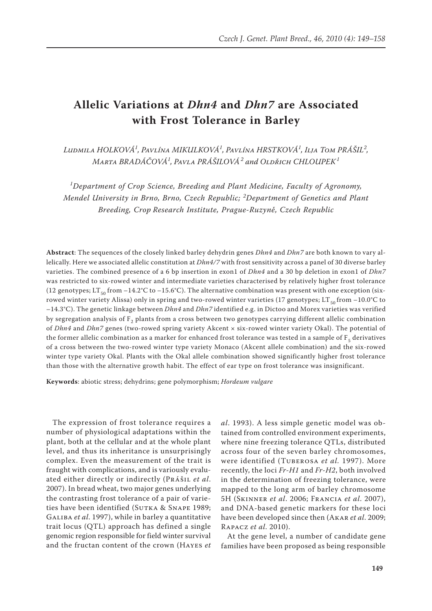# **Allelic Variations at** *Dhn4* **and** *Dhn7* **are Associated with Frost Tolerance in Barley**

*Ludmila Holková<sup>1</sup> , Pavlína Mikulková<sup>1</sup> , Pavlína Hrstková<sup>1</sup> , Ilja Tom Prášil<sup>2</sup> , Marta Bradáčová<sup>1</sup> , Pavla Prášilová<sup>2</sup> and Oldřich Chloupek<sup>1</sup>*

*1 Department of Crop Science, Breeding and Plant Medicine, Faculty of Agronomy, Mendel University in Brno, Brno, Czech Republic; <sup>2</sup> Department of Genetics and Plant Breeding, Crop Research Institute, Prague-Ruzyně, Czech Republic*

**Abstract**: The sequences of the closely linked barley dehydrin genes *Dhn4* and *Dhn7* are both known to vary allelically. Here we associated allelic constitution at *Dhn4/7* with frost sensitivity across a panel of 30 diverse barley varieties. The combined presence of a 6 bp insertion in exon1 of *Dhn4* and a 30 bp deletion in exon1 of *Dhn7* was restricted to six-rowed winter and intermediate varieties characterised by relatively higher frost tolerance (12 genotypes; LT<sub>50</sub> from  $-14.2$ °C to  $-15.6$ °C). The alternative combination was present with one exception (sixrowed winter variety Alissa) only in spring and two-rowed winter varieties (17 genotypes; LT<sub>50</sub> from  $-10.0^{\circ}$ C to –14.3°C). The genetic linkage between *Dhn4* and *Dhn7* identified e.g. in Dictoo and Morex varieties was verified by segregation analysis of  $F<sub>2</sub>$  plants from a cross between two genotypes carrying different allelic combination of *Dhn4* and *Dhn7* genes (two-rowed spring variety Akcent × six-rowed winter variety Okal). The potential of the former allelic combination as a marker for enhanced frost tolerance was tested in a sample of  $F<sub>5</sub>$  derivatives of a cross between the two-rowed winter type variety Monaco (Akcent allele combination) and the six-rowed winter type variety Okal. Plants with the Okal allele combination showed significantly higher frost tolerance than those with the alternative growth habit. The effect of ear type on frost tolerance was insignificant.

**Keywords**: abiotic stress; dehydrins; gene polymorphism; *Hordeum vulgare*

The expression of frost tolerance requires a number of physiological adaptations within the plant, both at the cellular and at the whole plant level, and thus its inheritance is unsurprisingly complex. Even the measurement of the trait is fraught with complications, and is variously evaluated either directly or indirectly (Prášil *et al*. 2007). In bread wheat, two major genes underlying the contrasting frost tolerance of a pair of varieties have been identified (SUTKA & SNAPE 1989; GALIBA *et al.* 1997), while in barley a quantitative trait locus (QTL) approach has defined a single genomic region responsible for field winter survival and the fructan content of the crown (Hayes *et* 

*al*. 1993). A less simple genetic model was obtained from controlled environment experiments, where nine freezing tolerance QTLs, distributed across four of the seven barley chromosomes, were identified (Tuberosa *et al.* 1997). More recently, the loci *Fr-H1* and *Fr-H2*, both involved in the determination of freezing tolerance, were mapped to the long arm of barley chromosome 5H (Skinner *et al*. 2006; Francia *et al*. 2007), and DNA-based genetic markers for these loci have been developed since then (Akar *et al*. 2009; Rapacz *et al*. 2010).

At the gene level, a number of candidate gene families have been proposed as being responsible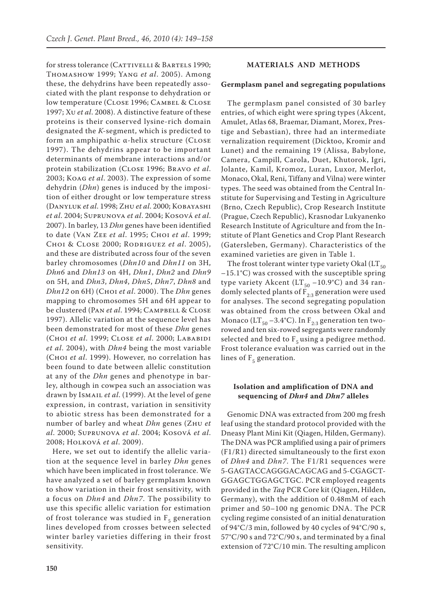for stress tolerance (CATTIVELLI & BARTELS 1990; Thomashow 1999; Yang *et al*. 2005). Among these, the dehydrins have been repeatedly associated with the plant response to dehydration or low temperature (Close 1996; Cambel & Close 1997; Xu *et al*. 2008). A distinctive feature of these proteins is their conserved lysine-rich domain designated the *K-*segment, which is predicted to form an amphipathic α-helix structure (Close 1997). The dehydrins appear to be important determinants of membrane interactions and/or protein stabilization (Close 1996; Bravo *et al*. 2003; Koag *et al*. 2003). The expression of some dehydrin (*Dhn*) genes is induced by the imposition of either drought or low temperature stress (Danyluk *et al*. 1998; Zhu *et al*. 2000; Kobayashi *et al*. 2004; Suprunova *et al*. 2004; Kosová *et al*. 2007). In barley, 13 *Dhn* genes have been identified to date (Van Zee *et al*. 1995; Choi *et al*. 1999; Choi & Close 2000; Rodriguez *et al*. 2005), and these are distributed across four of the seven barley chromosomes (*Dhn10* and *Dhn11* on 3H, *Dhn6* and *Dhn13* on 4H, *Dhn1*, *Dhn2* and *Dhn9* on 5H, and *Dhn3*, *Dhn4*, *Dhn5*, *Dhn7*, *Dhn8* and *Dhn12* on 6H) (Choi *et al*. 2000). The *Dhn* genes mapping to chromosomes 5H and 6H appear to be clustered (Pan *et al*. 1994; Campbell & Close 1997). Allelic variation at the sequence level has been demonstrated for most of these *Dhn* genes (Choi *et al*. 1999; Close *et al*. 2000; Lababidi *et al*. 2004), with *Dhn4* being the most variable (Choi *et al*. 1999). However, no correlation has been found to date between allelic constitution at any of the *Dhn* genes and phenotype in barley, although in cowpea such an association was drawn by Ismail *et al*. (1999). At the level of gene expression, in contrast, variation in sensitivity to abiotic stress has been demonstrated for a number of barley and wheat *Dhn* genes (Zhu *et al*. 2000; Suprunova *et al*. 2004; Kosová *et al*. 2008; Holková *et al*. 2009).

Here, we set out to identify the allelic variation at the sequence level in barley *Dhn* genes which have been implicated in frost tolerance. We have analyzed a set of barley germplasm known to show variation in their frost sensitivity, with a focus on *Dhn4* and *Dhn7*. The possibility to use this specific allelic variation for estimation of frost tolerance was studied in  $F_5$  generation lines developed from crosses between selected winter barley varieties differing in their frost sensitivity.

## **Materials and Methods**

#### **Germplasm panel and segregating populations**

The germplasm panel consisted of 30 barley entries, of which eight were spring types (Akcent, Amulet, Atlas 68, Braemar, Diamant, Morex, Prestige and Sebastian), three had an intermediate vernalization requirement (Dicktoo, Kromir and Lunet) and the remaining 19 (Alissa, Babylone, Camera, Campill, Carola, Duet, Khutorok, Igri, Jolante, Kamil, Kromoz, Luran, Luxor, Merlot, Monaco, Okal, Reni, Tiffany and Vilna) were winter types. The seed was obtained from the Central Institute for Supervising and Testing in Agriculture (Brno, Czech Republic), Crop Research Institute (Prague, Czech Republic), Krasnodar Lukyanenko Research Institute of Agriculture and from the Institute of Plant Genetics and Crop Plant Research (Gatersleben, Germany). Characteristics of the examined varieties are given in Table 1.

The frost tolerant winter type variety Okal  $(LT_{50})$ –15.1°C) was crossed with the susceptible spring type variety Akcent ( $LT_{50}$  –10.9°C) and 34 randomly selected plants of  $F_{2:3}$  generation were used for analyses. The second segregating population was obtained from the cross between Okal and Monaco ( $LT_{50} -3.4$ °C). In  $F_{2:3}$  generation ten tworowed and ten six-rowed segregants were randomly selected and bred to  $F_5$  using a pedigree method. Frost tolerance evaluation was carried out in the lines of  $F_5$  generation.

# **Isolation and amplification of DNA and sequencing of** *Dhn4* **and** *Dhn7* **alleles**

Genomic DNA was extracted from 200 mg fresh leaf using the standard protocol provided with the Dneasy Plant Mini Kit (Qiagen, Hilden, Germany). The DNA was PCR amplified using a pair of primers (F1/R1) directed simultaneously to the first exon of *Dhn4* and *Dhn7*. The F1/R1 sequences were 5-GAGTACCAGGGACAGCAG and 5-CGAGCT-GGAGCTGGAGCTGC. PCR employed reagents provided in the *Taq* PCR Core kit (Qiagen, Hilden, Germany), with the addition of 0.48mM of each primer and 50–100 ng genomic DNA. The PCR cycling regime consisted of an initial denaturation of 94°C/3 min, followed by 40 cycles of 94°C/90 s, 57°C/90 s and 72°C/90 s, and terminated by a final extension of 72°C/10 min. The resulting amplicon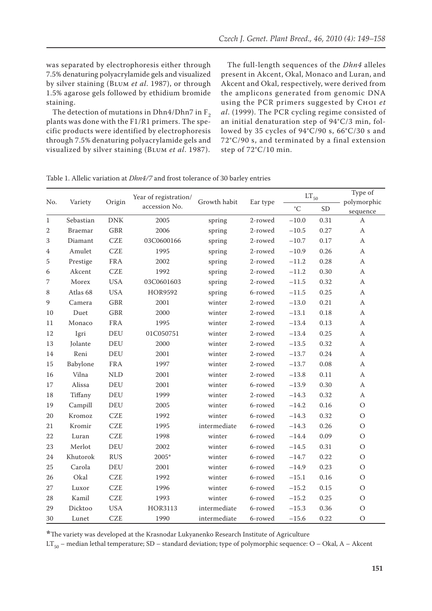was separated by electrophoresis either through 7.5% denaturing polyacrylamide gels and visualized by silver staining (Blum *et al*. 1987), or through 1.5% agarose gels followed by ethidium bromide staining.

The detection of mutations in Dhn4/Dhn7 in  $F_2$ plants was done with the F1/R1 primers. The specific products were identified by electrophoresis through 7.5% denaturing polyacrylamide gels and visualized by silver staining (Blum *et al*. 1987).

The full-length sequences of the *Dhn4* alleles present in Akcent, Okal, Monaco and Luran, and Akcent and Okal, respectively, were derived from the amplicons generated from genomic DNA using the PCR primers suggested by Choi *et al*. (1999). The PCR cycling regime consisted of an initial denaturation step of 94°C/3 min, followed by 35 cycles of 94°C/90 s, 66°C/30 s and 72°C/90 s, and terminated by a final extension step of 72°C/10 min.

| No.              | Variety        | Origin     | Year of registration/<br>accession No. | Growth habit | Ear type | $\mathop{\rm LT}\nolimits_{50}$ |           | Type of          |
|------------------|----------------|------------|----------------------------------------|--------------|----------|---------------------------------|-----------|------------------|
|                  |                |            |                                        |              |          |                                 |           | polymorphic      |
|                  |                |            |                                        |              |          | $\rm ^{\circ}C$                 | <b>SD</b> | sequence         |
| $\mathbf{1}$     | Sebastian      | <b>DNK</b> | 2005                                   | spring       | 2-rowed  | $-10.0$                         | 0.31      | $\boldsymbol{A}$ |
| $\mathbf{2}$     | <b>Braemar</b> | <b>GBR</b> | 2006                                   | spring       | 2-rowed  | $-10.5$                         | 0.27      | $\mathbf{A}$     |
| $\sqrt{3}$       | Diamant        | <b>CZE</b> | 03C0600166                             | spring       | 2-rowed  | $-10.7$                         | 0.17      | $\mathbf{A}$     |
| $\boldsymbol{4}$ | Amulet         | <b>CZE</b> | 1995                                   | spring       | 2-rowed  | $-10.9$                         | 0.26      | $\boldsymbol{A}$ |
| $\mathbf 5$      | Prestige       | <b>FRA</b> | 2002                                   | spring       | 2-rowed  | $-11.2$                         | 0.28      | $\boldsymbol{A}$ |
| 6                | Akcent         | <b>CZE</b> | 1992                                   | spring       | 2-rowed  | $-11.2$                         | 0.30      | $\mathbf{A}$     |
| $\sqrt{ }$       | Morex          | <b>USA</b> | 03C0601603                             | spring       | 2-rowed  | $-11.5$                         | 0.32      | $\boldsymbol{A}$ |
| $\,8\,$          | Atlas 68       | <b>USA</b> | <b>HOR9592</b>                         | spring       | 6-rowed  | $-11.5$                         | 0.25      | $\boldsymbol{A}$ |
| 9                | Camera         | <b>GBR</b> | 2001                                   | winter       | 2-rowed  | $-13.0$                         | 0.21      | $\mathbf{A}$     |
| 10               | Duet           | <b>GBR</b> | 2000                                   | winter       | 2-rowed  | $-13.1$                         | 0.18      | $\boldsymbol{A}$ |
| 11               | Monaco         | <b>FRA</b> | 1995                                   | winter       | 2-rowed  | $-13.4$                         | 0.13      | $\boldsymbol{A}$ |
| 12               | Igri           | <b>DEU</b> | 01C050751                              | winter       | 2-rowed  | $-13.4$                         | 0.25      | $\boldsymbol{A}$ |
| 13               | Jolante        | <b>DEU</b> | 2000                                   | winter       | 2-rowed  | $-13.5$                         | 0.32      | $\boldsymbol{A}$ |
| 14               | Reni           | DEU        | 2001                                   | winter       | 2-rowed  | $-13.7$                         | 0.24      | $\mathbf{A}$     |
| 15               | Babylone       | <b>FRA</b> | 1997                                   | winter       | 2-rowed  | $-13.7$                         | 0.08      | $\mathbf{A}$     |
| 16               | Vilna          | <b>NLD</b> | 2001                                   | winter       | 2-rowed  | $-13.8$                         | 0.11      | A                |
| 17               | Alissa         | <b>DEU</b> | 2001                                   | winter       | 6-rowed  | $-13.9$                         | 0.30      | $\boldsymbol{A}$ |
| 18               | Tiffany        | DEU        | 1999                                   | $\!$         | 2-rowed  | $-14.3$                         | 0.32      | $\mathbf{A}$     |
| 19               | Campill        | <b>DEU</b> | 2005                                   | winter       | 6-rowed  | $-14.2$                         | 0.16      | $\mathcal{O}$    |
| 20               | Kromoz         | <b>CZE</b> | 1992                                   | winter       | 6-rowed  | $-14.3$                         | 0.32      | $\mathcal{O}$    |
| 21               | Kromir         | <b>CZE</b> | 1995                                   | intermediate | 6-rowed  | $-14.3$                         | 0.26      | $\mathcal{O}$    |
| 22               | Luran          | <b>CZE</b> | 1998                                   | winter       | 6-rowed  | $-14.4$                         | 0.09      | $\mathcal{O}$    |
| 23               | Merlot         | <b>DEU</b> | 2002                                   | winter       | 6-rowed  | $-14.5$                         | 0.31      | $\mathcal{O}$    |
| 24               | Khutorok       | <b>RUS</b> | 2005*                                  | winter       | 6-rowed  | $-14.7$                         | 0.22      | $\mathcal{O}$    |
| 25               | Carola         | <b>DEU</b> | 2001                                   | winter       | 6-rowed  | $-14.9$                         | 0.23      | $\bigcirc$       |
| 26               | Okal           | <b>CZE</b> | 1992                                   | winter       | 6-rowed  | $-15.1$                         | 0.16      | $\mathcal{O}$    |
| 27               | Luxor          | <b>CZE</b> | 1996                                   | winter       | 6-rowed  | $-15.2$                         | 0.15      | $\circ$          |
| 28               | Kamil          | <b>CZE</b> | 1993                                   | winter       | 6-rowed  | $-15.2$                         | 0.25      | $\mathcal{O}$    |
| 29               | Dicktoo        | <b>USA</b> | <b>HOR3113</b>                         | intermediate | 6-rowed  | $-15.3$                         | 0.36      | $\mathcal{O}$    |
| 30               | Lunet          | <b>CZE</b> | 1990                                   | intermediate | 6-rowed  | $-15.6$                         | 0.22      | $\circ$          |

Table 1. Allelic variation at *Dhn4/7* and frost tolerance of 30 barley entries

**\***The variety was developed at the Krasnodar Lukyanenko Research Institute of Agriculture

LT<sub>50</sub> – median lethal temperature; SD – standard deviation; type of polymorphic sequence: O – Okal, A – Akcent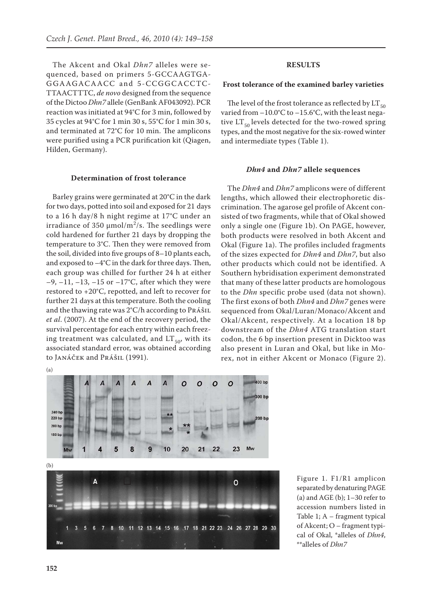The Akcent and Okal *Dhn7* alleles were sequenced, based on primers 5-GCCAAGTGA-GGAAGACAACC and 5-CCGGCACCTC-TTAACTTTC, *de novo* designed from the sequence of the Dictoo *Dhn7* allele (GenBank AF043092). PCR reaction was initiated at 94°C for 3 min, followed by 35 cycles at 94°C for 1 min 30 s, 55°C for 1 min 30 s, and terminated at 72°C for 10 min. The amplicons were purified using a PCR purification kit (Qiagen, Hilden, Germany).

#### **Determination of frost tolerance**

Barley grains were germinated at 20°C in the dark for two days, potted into soil and exposed for 21 days to a 16 h day/8 h night regime at 17°C under an irradiance of 350  $\mu$ mol/m<sup>2</sup>/s. The seedlings were cold hardened for further 21 days by dropping the temperature to 3°C. Then they were removed from the soil, divided into five groups of 8–10 plants each, and exposed to –4°C in the dark for three days. Then, each group was chilled for further 24 h at either  $-9$ ,  $-11$ ,  $-13$ ,  $-15$  or  $-17$ °C, after which they were restored to +20°C, repotted, and left to recover for further 21 days at this temperature. Both the cooling and the thawing rate was  $2^{\circ}C/h$  according to  $Pr\{A\$ *et al*. (2007). At the end of the recovery period, the survival percentage for each entry within each freezing treatment was calculated, and  $LT_{50}$ , with its associated standard error, was obtained according to Janáček and Prášil (1991).

#### **Results**

#### **Frost tolerance of the examined barley varieties**

The level of the frost tolerance as reflected by  $LT_{50}$ varied from  $-10.0$ °C to  $-15.6$ °C, with the least negative  $LT_{50}$  levels detected for the two-rowed spring types, and the most negative for the six-rowed winter and intermediate types (Table 1).

#### *Dhn4* **and** *Dhn7* **allele sequences**

The *Dhn4* and *Dhn7* amplicons were of different lengths, which allowed their electrophoretic discrimination. The agarose gel profile of Akcent consisted of two fragments, while that of Okal showed only a single one (Figure 1b). On PAGE, however, both products were resolved in both Akcent and Okal (Figure 1a). The profiles included fragments of the sizes expected for *Dhn4* and *Dhn7*, but also other products which could not be identified. A Southern hybridisation experiment demonstrated that many of these latter products are homologous to the *Dhn* specific probe used (data not shown). The first exons of both *Dhn4* and *Dhn7* genes were sequenced from Okal/Luran/Monaco/Akcent and Okal/Akcent, respectively. At a location 18 bp downstream of the *Dhn4* ATG translation start codon, the 6 bp insertion present in Dicktoo was also present in Luran and Okal, but like in Morex, not in either Akcent or Monaco (Figure 2).



Figure 1. F1/R1 amplicon separated by denaturing PAGE (a) and AGE (b);  $1-30$  refer to accession numbers listed in Table 1; A – fragment typical of Akcent; O – fragment typical of Okal, \*alleles of *Dhn4*, \*\*alleles of *Dhn7*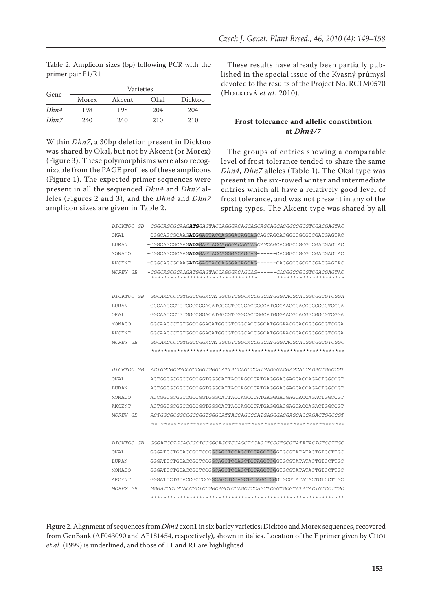Table 2. Amplicon sizes (bp) following PCR with the primer pair F1/R1

|      | Varieties |        |      |         |  |
|------|-----------|--------|------|---------|--|
| Gene | Morex     | Akcent | Okal | Dicktoo |  |
| Dhn4 | 198       | 198    | 204  | 204     |  |
| Dhn7 | 240       | 240    | 210  | 210     |  |

Within *Dhn7*, a 30bp deletion present in Dicktoo was shared by Okal, but not by Akcent (or Morex) (Figure 3). These polymorphisms were also recognizable from the PAGE profiles of these amplicons (Figure 1). The expected primer sequences were present in all the sequenced *Dhn4* and *Dhn7* alleles (Figures 2 and 3), and the *Dhn4* and *Dhn7* amplicon sizes are given in Table 2.

These results have already been partially published in the special issue of the Kvasný průmysl devoted to the results of the Project No. RC1M0570 (Holková *et al.* 2010).

# **Frost tolerance and allelic constitution at** *Dhn4/7*

The groups of entries showing a comparable level of frost tolerance tended to share the same *Dhn4*, *Dhn7* alleles (Table 1). The Okal type was present in the six-rowed winter and intermediate entries which all have a relatively good level of frost tolerance, and was not present in any of the spring types. The Akcent type was shared by all

|            | DICKTOO GB -CGGCAGCGCAAG <b>ATG</b> GAGTACCAGGGACAGCAGCAGCAGCACGCCGCGTCGACGAGTAC                                            |
|------------|-----------------------------------------------------------------------------------------------------------------------------|
| OKAL       | -CGGCAGCGCAAG <b>ATG</b> GAGTACCAGGGACAGCAGCAGCAGCACGCGCCGCGTCGACGAGTAC                                                     |
| LURAN      | -CGGCAGCGCAAGATGGAGTACCA <i>GGGACAGCAGCAG</i> CAGCACGCCCGCCGTCGACGAGTAC                                                     |
| MONACO     | -CGGCAGCGCAAG <b>ATG</b> GAGTACCAGGGACAGCAG------CACGGCCGCGTCGACGAGTAC                                                      |
| AKCENT     | -CGGCAGCGCAAGATGGAGTACCAGGGACAGCAG------CACGGCCGCGTCGACGAGTAC                                                               |
| MOREX GB   | -CGGCAGCGCAAGATGGAGTACCAGGGACAGCAG------CACGGCCGCGTCGACGAGTAC<br>*********************************<br>********************* |
| DICKTOO GB | GGCAACCCTGTGGCCGGACATGGCGTCGGCACCGGCATGGGAACGCACGGCGCGTCGGA                                                                 |
| LURAN      | GGCAACCCTGTGGCCGGACATGGCGTCGGCACCGCATGGGAACGCACGGCGCGCGTCGGA                                                                |
| OKAL       | GGCAACCCTGTGGCCGGACATGGCGTCGGCACCGGCATGGGAACGCACGGCGCGTCGGA                                                                 |
| MONACO     | GGCAACCCTGTGGCCGGACATGGCGTCGGCACCGCATGGGAACGCACGGCGCGCGTCGGA                                                                |
| AKCENT     | GGCAACCCTGTGGCCGGACATGGCGTCGGCACCGGCATGGGAACGCACGGCGCGTCGGA                                                                 |
| MOREX GB   | GGCAACCCTGTGGCCGGACATGGCGTCGGCACCGGCATGGGAACGCACGGCGCGTCGC                                                                  |
|            |                                                                                                                             |
|            |                                                                                                                             |
| DICKTOO GB | ACTGGCGGCGGCCGCCGGTGGGCATTACCAGCCCATGAGGGACGAGCACCAGACTGGCCGT                                                               |
| OKAL       | ACTGGCGCGGCCGCCGGTGGGCATTACCAGCCCATGAGGGACGAGCACCAGACTGGCCGT                                                                |
| LURAN      | ACTGGCGGCGGCCGCCGGTGGGCATTACCAGCCCATGAGGGACGAGCACCAGACTGGCCGT                                                               |
| MONACO     | ACCGGCGCGCCGCCCGGTGGGCATTACCAGCCCATGAGGGACGAGCACCAGACTGGCCGT                                                                |
| AKCENT     | ACTGGCGGCGGCCGCCGGTGGGCATTACCAGCCCATGAGGGACGAGCACCAGACTGGCCGT                                                               |
| MOREX GB   | <i>ACTGGCGCGGCCGCCGGTGGGCATTACCAGCCCATGAGGGACGAGCACCAGACTGGCCGT</i>                                                         |
|            |                                                                                                                             |
|            |                                                                                                                             |
| DICKTOO GB | GGGATCCTGCACCGCTCCGGCAGCTCCAGCTCCAGCTCGGTGCGTATATACTGTCCTTGC                                                                |
| OKAL       | GGGATCCTGCACCGCTCCGGCAGCTCCAGCTCCAGCTCGGTGCGTATATACTGTCCTTGC                                                                |
| LURAN      | GGGATCCTGCACCGCTCCGGCAGCTCCAGCTCCAGCTCGGTGCGTATATACTGTCCTTGC                                                                |
| MONACO     | GGGATCCTGCACCGCTCCGGCAGCTCCAGCTCCAGCTCGGTGCGTATATACTGTCCTTGC                                                                |
| AKCENT     | GGGATCCTGCACCGCTCCGGCAGCTCCAGCTCCAGCTCGGTGCGTATATACTGTCCTTGC                                                                |
| MOREX GB   | GGGATCCTGCACCGCTCCGGCAGCTCCAGCTCCAGCTCGGTGCGTATATACTGTCCTTGC                                                                |
|            |                                                                                                                             |

Figure 2. Alignment of sequences from *Dhn4* exon1 in six barley varieties; Dicktoo and Morex sequences, recovered from GenBank (AF043090 and AF181454, respectively), shown in italics. Location of the F primer given by Choi *et al*. (1999) is underlined, and those of F1 and R1 are highlighted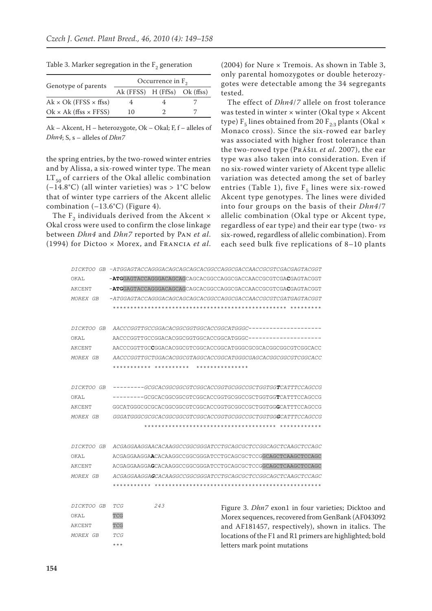| Genotype of parents                 | Occurrence in $F_2$          |  |  |  |  |
|-------------------------------------|------------------------------|--|--|--|--|
|                                     | Ak (FFSS) H (FfSs) Ok (ffss) |  |  |  |  |
| $Ak \times Ok$ (FFSS $\times$ ffss) |                              |  |  |  |  |
| $Ok \times Ak$ (ffss $\times$ FFSS) | 10                           |  |  |  |  |

Table 3. Marker segregation in the  $F<sub>2</sub>$  generation

Ak – Akcent, H – heterozygote, Ok – Okal; F, f – alleles of *Dhn4*; S, s – alleles of *Dhn7*

the spring entries, by the two-rowed winter entries and by Alissa, a six-rowed winter type. The mean  $LT_{50}$  of carriers of the Okal allelic combination  $(-14.8^{\circ}C)$  (all winter varieties) was > 1°C below that of winter type carriers of the Akcent allelic combination (–13.6°C) (Figure 4).

The  $F_2$  individuals derived from the Akcent  $\times$ Okal cross were used to confirm the close linkage between *Dhn4* and *Dhn7* reported by Pan *et al*. (1994) for Dictoo × Morex, and Francia *et al*.

(2004) for Nure × Tremois. As shown in Table 3, only parental homozygotes or double heterozygotes were detectable among the 34 segregants tested.

The effect of *Dhn4*/*7* allele on frost tolerance was tested in winter × winter (Okal type × Akcent type)  $F_5$  lines obtained from 20  $F_{2:3}$  plants (Okal  $\times$ Monaco cross). Since the six-rowed ear barley was associated with higher frost tolerance than the two-rowed type (Prášil *et al*. 2007), the ear type was also taken into consideration. Even if no six-rowed winter variety of Akcent type allelic variation was detected among the set of barley entries (Table 1), five  $F_5$  lines were six-rowed Akcent type genotypes. The lines were divided into four groups on the basis of their *Dhn4*/7 allelic combination (Okal type or Akcent type, regardless of ear type) and their ear type (two- *vs* six-rowed, regardless of allelic combination). From each seed bulk five replications of 8–10 plants

|                   |                                                                    | DICKTOO GB -ATGGAGTACCAGGGACAGCAGCAGCACGGCCAGGCGACCAACCGCGTCGACGAGTACGGT |  |  |  |
|-------------------|--------------------------------------------------------------------|--------------------------------------------------------------------------|--|--|--|
| OKAL              |                                                                    | -ATGGAGTACCAGGGACAGCAGCAGCACGGCCAGGCGACCAACCGCGTCGACGAGTACGGT            |  |  |  |
| AKCENT            |                                                                    | -ATGGAGTACCAGGGACAGCAGCAGCACGCCAGGCGACCAACCGCGTCGACGAGTACGGT             |  |  |  |
| MOREX GB          |                                                                    | $-ATGGAGTACCAGGGACAGCAGCAGCACGGCCAGGCGACCAACCGGCCGTCGATGAGTACGGT$        |  |  |  |
|                   |                                                                    |                                                                          |  |  |  |
|                   |                                                                    |                                                                          |  |  |  |
| <i>DICKTOO GB</i> |                                                                    |                                                                          |  |  |  |
| OKAL              |                                                                    |                                                                          |  |  |  |
| AKCENT            |                                                                    | AACCCGGTTGCCGGACACGGCGTCGGCACCGGCATGGGCGCGCACGGCGCGTCGGCACC              |  |  |  |
| MOREX GB          |                                                                    | AACCCGGTTGCTGGACACGGCGTAGGCACCGGCATGGGCGAGCACGGCGGCGTCGGCACC             |  |  |  |
|                   | *********** ********** ***************                             |                                                                          |  |  |  |
| <i>DICKTOO GB</i> |                                                                    | --------GCGCACGGCGCGTCGGCACCGGTGCGGCCGCTGGTGGTCATTTCCAGCCG               |  |  |  |
| OKAL              |                                                                    | ---------GCGCACGGCGCGTCGGCACCGGTGCGGCCGCTGGTGGTCATTTCCAGCCG              |  |  |  |
| AKCENT            |                                                                    | GGCATGGGCGCGCACGGCGGCGTCGGCACCGGTGCGGCCGCTGGTGGCATTTCCAGCCG              |  |  |  |
| MOREX GB          |                                                                    | GGGATGGGCGCGCACGGCGGCGTCGGCACCGGTGCGGCCGCTGGTGG <b>G</b> CATTTCCAGCCG    |  |  |  |
|                   |                                                                    |                                                                          |  |  |  |
|                   |                                                                    |                                                                          |  |  |  |
| <i>DICKTOO GB</i> |                                                                    | ACGAGGAAGGAACACAAGGCCGGCGGATCCTGCAGCGCTCCGGCAGCTCAAGCTCCAGC              |  |  |  |
| OKAL              |                                                                    | ACGAGGAAGGAACACAAGGCCGGCGGGATCCTGCAGCGCTCCGGCAGCTCAAGCTCCAGC             |  |  |  |
| AKCENT            |                                                                    | ACGAGGAAGGAGCACAAGGCCCGCGGATCCTGCAGCGCTCCGGCAGCTCAAGCTCCAGC              |  |  |  |
| MOREX GB          | <i>ACGAGGAAGGAGCACAAGGCCGGCGGATCCTGCAGCGCTCCGGCAGCTCAAGCTCCAGC</i> |                                                                          |  |  |  |
|                   |                                                                    |                                                                          |  |  |  |
| <i>DICKTOO GB</i> | 243<br>TCG                                                         |                                                                          |  |  |  |
| OKAL              |                                                                    | Figure 3. Dhn7 exon1 in four varieties; Dicktoo and                      |  |  |  |
|                   | TCG                                                                | Morex sequences, recovered from GenBank (AF043092                        |  |  |  |
| AKCENT            | TCG                                                                | and AF181457, respectively), shown in italics. The                       |  |  |  |
| MOREX GB          | TCG                                                                | locations of the F1 and R1 primers are highlighted; bold                 |  |  |  |
|                   | $***$                                                              | letters mark point mutations                                             |  |  |  |

\*\*\*\*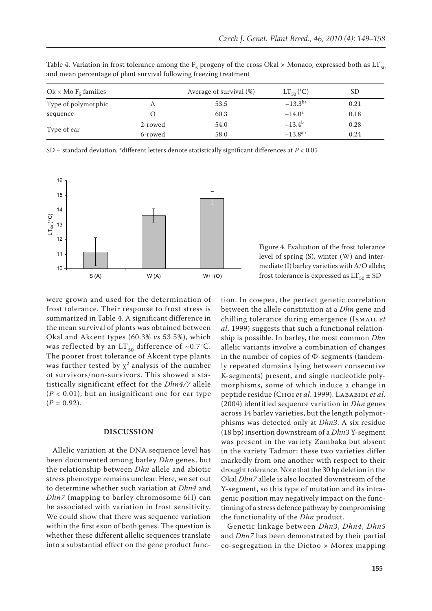| Ok × Mo $F_5$ families |         | Average of survival (%) | $LT_{50}$ (°C)  | SD   |
|------------------------|---------|-------------------------|-----------------|------|
| Type of polymorphic    | А       | 53.5                    | $-13.3^{b*}$    | 0.21 |
| sequence               |         | 60.3                    | $-14.0^{\circ}$ | 0.18 |
|                        | 2-rowed | 54.0                    | $-13.4^{b}$     | 0.28 |
| Type of ear            | 6-rowed | 58.0                    | $-13.8^{ab}$    | 0.24 |

Table 4. Variation in frost tolerance among the  $F_5$  progeny of the cross Okal × Monaco, expressed both as LT<sub>50</sub> and mean percentage of plant survival following freezing treatment

SD – standard deviation; \*different letters denote statistically significant differences at *P* < 0.05



were grown and used for the determination of frost tolerance. Their response to frost stress is summarized in Table 4. A significant difference in the mean survival of plants was obtained between Okal and Akcent types (60.3% *vs* 53.5%), which was reflected by an LT<sub>50</sub> difference of ~0.7°C. The poorer frost tolerance of Akcent type plants was further tested by  $\chi^2$  analysis of the number of survivors/non-survivors. This showed a statistically significant effect for the *Dhn4/7* allele  $(P < 0.01)$ , but an insignificant one for ear type  $(P = 0.92)$ .

## **Discussion**

Allelic variation at the DNA sequence level has been documented among barley *Dhn* genes, but the relationship between *Dhn* allele and abiotic stress phenotype remains unclear. Here, we set out to determine whether such variation at *Dhn4* and *Dhn7* (mapping to barley chromosome 6H) can be associated with variation in frost sensitivity. We could show that there was sequence variation within the first exon of both genes. The question is whether these different allelic sequences translate into a substantial effect on the gene product func-

Figure 4. Evaluation of the frost tolerance level of spring (S), winter (W) and intermediate (I) barley varieties with A/O allele; frost tolerance is expressed as  $LT_{50} \pm SD$ 

tion. In cowpea, the perfect genetic correlation between the allele constitution at a *Dhn* gene and chilling tolerance during emergence (Ismail *et al*. 1999) suggests that such a functional relationship is possible. In barley, the most common *Dhn* allelic variants involve a combination of changes in the number of copies of Φ-segments (tandemly repeated domains lying between consecutive K-segments) present, and single nucleotide polymorphisms, some of which induce a change in peptide residue (Choi *et al*. 1999). Lababidi *et al*. (2004) identified sequence variation in *Dhn* genes across 14 barley varieties, but the length polymorphisms was detected only at *Dhn3*. A six residue (18 bp) insertion downstream of a *Dhn3* Y-segment was present in the variety Zambaka but absent in the variety Tadmor; these two varieties differ markedly from one another with respect to their drought tolerance. Note that the 30 bp deletion in the Okal *Dhn7* allele is also located downstream of the Y-segment, so this type of mutation and its intragenic position may negatively impact on the functioning of a stress defence pathway by compromising the functionality of the *Dhn* product.

Genetic linkage between *Dhn3*, *Dhn4*, *Dhn5* and *Dhn7* has been demonstrated by their partial  $co-$ segregation in the Dictoo  $\times$  Morex mapping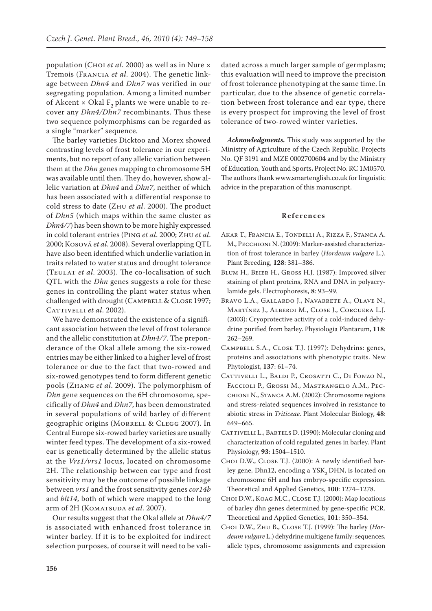population (Choi *et al*. 2000) as well as in Nure × Tremois (Francia *et al*. 2004). The genetic linkage between *Dhn4* and *Dhn7* was verified in our segregating population. Among a limited number of Akcent  $\times$  Okal F<sub>2</sub> plants we were unable to recover any *Dhn4/Dhn7* recombinants. Thus these two sequence polymorphisms can be regarded as a single "marker" sequence.

The barley varieties Dicktoo and Morex showed contrasting levels of frost tolerance in our experiments, but no report of any allelic variation between them at the *Dhn* genes mapping to chromosome 5H was available until then. They do, however, show allelic variation at *Dhn4* and *Dhn7*, neither of which has been associated with a differential response to cold stress to date (Zhu *et al*. 2000). The product of *Dhn5* (which maps within the same cluster as *Dhn4/7*) has been shown to be more highly expressed in cold tolerant entries (Ping *et al*. 2000; Zhu *et al*. 2000; Kosová *et al*. 2008). Several overlapping QTL have also been identified which underlie variation in traits related to water status and drought tolerance (Teulat *et al*. 2003). The co-localisation of such QTL with the *Dhn* genes suggests a role for these genes in controlling the plant water status when challenged with drought (CAMPBELL & CLOSE 1997; CATTIVELLI *et al.* 2002).

We have demonstrated the existence of a significant association between the level of frost tolerance and the allelic constitution at *Dhn4/7*. The preponderance of the Okal allele among the six-rowed entries may be either linked to a higher level of frost tolerance or due to the fact that two-rowed and six-rowed genotypes tend to form different genetic pools (Zhang *et al*. 2009). The polymorphism of *Dhn* gene sequences on the 6H chromosome, specifically of *Dhn4* and *Dhn7*, has been demonstrated in several populations of wild barley of different geographic origins (Morrell & Clegg 2007). In Central Europe six-rowed barley varieties are usually winter feed types. The development of a six-rowed ear is genetically determined by the allelic status at the *Vrs1/vrs1* locus, located on chromosome 2H. The relationship between ear type and frost sensitivity may be the outcome of possible linkage between *vrs1* and the frost sensitivity genes *cor14b* and *blt14*, both of which were mapped to the long arm of 2H (KOMATSUDA et al. 2007).

Our results suggest that the Okal allele at *Dhn4/7* is associated with enhanced frost tolerance in winter barley. If it is to be exploited for indirect selection purposes, of course it will need to be validated across a much larger sample of germplasm; this evaluation will need to improve the precision of frost tolerance phenotyping at the same time. In particular, due to the absence of genetic correlation between frost tolerance and ear type, there is every prospect for improving the level of frost tolerance of two-rowed winter varieties.

*Acknowledgments.* This study was supported by the Ministry of Agriculture of the Czech Republic, Projects No. QF 3191 and MZE 0002700604 and by the Ministry of Education, Youth and Sports, Project No. RC 1M0570. The authors thank www.smartenglish.co.uk for linguistic advice in the preparation of this manuscript.

#### **Re f e r e n c e s**

- Akar T., Francia E., Tondelli A., Rizza F., Stanca A. M., Pecchioni N. (2009): Marker-assisted characterization of frost tolerance in barley (*Hordeum vulgare* L.). Plant Breeding, **128**: 381–386.
- Blum H., Beier H., Gross H.J. (1987): Improved silver staining of plant proteins, RNA and DNA in polyacrylamide gels. Electrophoresis, **8**: 93–99.
- Bravo L.A., Gallardo J., Navarrete A., Olave N., Martínez J., Alberdi M., Close J., Corcuera L.J. (2003): Cryoprotective activity of a cold-induced dehydrine purified from barley. Physiologia Plantarum, **118**: 262–269.
- Campbell S.A., Close T.J. (1997): Dehydrins: genes, proteins and associations with phenotypic traits. New Phytologist, **137**: 61–74.
- CATTIVELLI L., BALDI P., CROSATTI C., DI FONZO N., Faccioli P., Grossi M., Mastrangelo A.M., Pecchioni N., Stanca A.M. (2002): Chromosome regions and stress-related sequences involved in resistance to abiotic stress in *Triticeae*. Plant Molecular Biology, **48**: 649–665.
- CATTIVELLI L., BARTELS D. (1990): Molecular cloning and characterization of cold regulated genes in barley. Plant Physiology, **93**: 1504–1510.
- Choi D.W., Close T.J. (2000): A newly identified barley gene, Dhn12, encoding a YSK<sub>2</sub> DHN, is located on chromosome 6H and has embryo-specific expression. Theoretical and Applied Genetics, **100**: 1274–1278.
- Choi D.W., Koag M.C., Close T.J. (2000): Map locations of barley dhn genes determined by gene-specific PCR. Theoretical and Applied Genetics, **101**: 350–354.
- Choi D.W., Zhu B., Close T.J. (1999): The barley (*Hordeum vulgare* L.) dehydrine multigene family: sequences, allele types, chromosome assignments and expression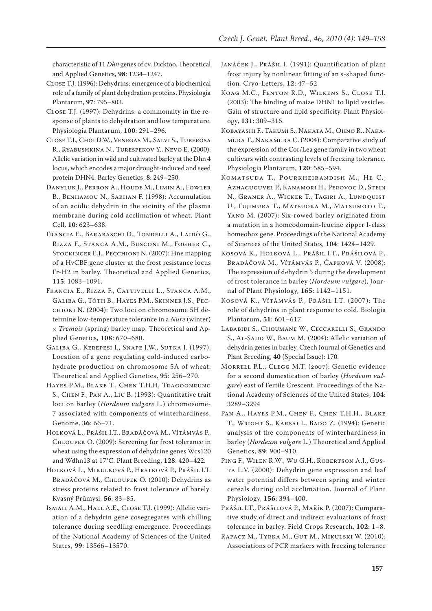characteristic of 11 *Dhn* genes of cv. Dicktoo. Theoretical and Applied Genetics, **98**: 1234–1247.

- Close T.J. (1996): Dehydrins: emergence of a biochemical role of a family of plant dehydration proteins. Physiologia Plantarum, **97**: 795–803.
- Close T.J. (1997): Dehydrins: a commonalty in the response of plants to dehydration and low temperature. Physiologia Plantarum, **100**: 291–296.
- Close T.J., Choi D.W., Venegas M., Salvi S., Tuberosa R., Ryabushkina N., Turespekov Y., Nevo E. (2000): Allelic variation in wild and cultivated barley at the Dhn 4 locus, which encodes a major drought-induced and seed protein DHN4. Barley Genetics, **8**: 249–250.
- Danyluk J., Perron A., Houde M., Limin A., Fowler B., BENHAMOU N., SARHAN F. (1998): Accumulation of an acidic dehydrin in the vicinity of the plasma membrane during cold acclimation of wheat. Plant Cell, **10**: 623–638.
- Francia E., Barabaschi D., Tondelli A., Laidò G., Rizza F., Stanca A.M., Busconi M., Fogher C., Stockinger E.J., Pecchioni N. (2007): Fine mapping of a HvCBF gene cluster at the frost resistance locus Fr-H2 in barley. Theoretical and Applied Genetics, **115**: 1083–1091.
- Francia E., Rizza F., Cattivelli L., Stanca A.M., Galiba G., Tóth B., Hayes P.M., Skinner J.S., Pecchioni N. (2004): Two loci on chromosome 5H determine low-temperature tolerance in a *Nure* (winter) × *Tremois* (spring) barley map. Theoretical and Applied Genetics, **108**: 670–680.
- Galiba G., Kerepesi I., Snape J.W., Sutka J. (1997): Location of a gene regulating cold-induced carbohydrate production on chromosome 5A of wheat. Theoretical and Applied Genetics, **95**: 256–270.
- Hayes P.M., Blake T., Chen T.H.H, Tragoonrung S., Chen F., Pan A., Liu B. (1993): Quantitative trait loci on barley (*Hordeum vulgare* L.) chromosome-7 associated with components of winterhardiness. Genome, **36**: 66–71.
- HOLKOVÁ L., PRÁŠIL I.T., BRADÁČOVÁ M., VÍTÁMVÁS P., Chloupek O. (2009): Screening for frost tolerance in wheat using the expression of dehydrine genes Wcs120 and Wdhn13 at 17°C. Plant Breeding, **128**: 420–422.
- Holková L., Mikulková P., Hrstková P., Prášil I.T. Bradáčová M., Chloupek O. (2010): Dehydrins as stress proteins related to frost tolerance of barely. Kvasný Průmysl, **56**: 83–85.
- Ismail A.M., Hall A.E., Close T.J. (1999): Allelic variation of a dehydrin gene cosegregates with chilling tolerance during seedling emergence. Proceedings of the National Academy of Sciences of the United States, **99**: 13566–13570.
- Janáček J., Prášil I. (1991): Quantification of plant frost injury by nonlinear fitting of an s-shaped function*.* Cryo-Letters, **12**: 47–52
- Koag M.C., Fenton R.D., Wilkens S., Close T.J. (2003): The binding of maize DHN1 to lipid vesicles. Gain of structure and lipid specificity. Plant Physiology, **131**: 309–316.
- Kobayashi F., Takumi S., Nakata M., Ohno R., Nakamura T., Nakamura C. (2004): Comparative study of the expression of the Cor/Lea gene family in two wheat cultivars with contrasting levels of freezing tolerance. Physiologia Plantarum, **120**: 585–594.
- Komatsuda T., Pourkheirandish M., He C., Azhaguguvel P., Kanamori H., Perovoc D., Stein N., Graner A., Wicker T., Tagiri A., Lundquist U., Fujimura T., Matsuoka M., Matsumoto T., Yano M. (2007): Six-rowed barley originated from a mutation in a homeodomain-leucine zipper I-class homeobox gene. Proceedings of the National Academy of Sciences of the United States, **104**: 1424–1429.
- Kosová K., Holková L., Prášil I.T., Prášilová P., Bradáčová M., Vítámvás P., Čapková V. (2008): The expression of dehydrin 5 during the development of frost tolerance in barley (*Hordeum vulgare*). Journal of Plant Physiology, **165**: 1142–1151.
- Kosová K., Vítámvás P., Prášil I.T. (2007): The role of dehydrins in plant response to cold. Biologia Plantarum, **51**: 601–617.
- Lababidi S., Choumane W., Ceccarelli S., Grando S., AL-SAIID W., BAUM M. (2004): Allelic variation of dehydrin genes in barley. Czech Journal of Genetics and Plant Breeding, **40** (Special Issue): 170.
- Morrell P.L., Clegg M.T. (2007): Genetic evidence for a second domestication of barley (*Hordeum vulgare*) east of Fertile Crescent. Proceedings of the National Academy of Sciences of the United States, **104**: 3289–3294
- Pan A., Hayes P.M., Chen F., Chen T.H.H., Blake T., WRIGHT S., KARSAI I., BADÖ Z. (1994): Genetic analysis of the components of winterhardiness in barley (*Hordeum vulgare* L.) Theoretical and Applied Genetics, **89**: 900–910.
- Ping F., Wilen R.W., Wu G.H., Robertson A.J., Gus-TA L.V. (2000): Dehydrin gene expression and leaf water potential differs between spring and winter cereals during cold acclimation. Journal of Plant Physiology, **156**: 394–400.
- Prášil I.T., Prášilová P., Mařík P. (2007): Comparative study of direct and indirect evaluations of frost tolerance in barley. Field Crops Research, **102**: 1–8.
- Rapacz M., Tyrka M., Gut M., Mikulski W. (2010): Associations of PCR markers with freezing tolerance